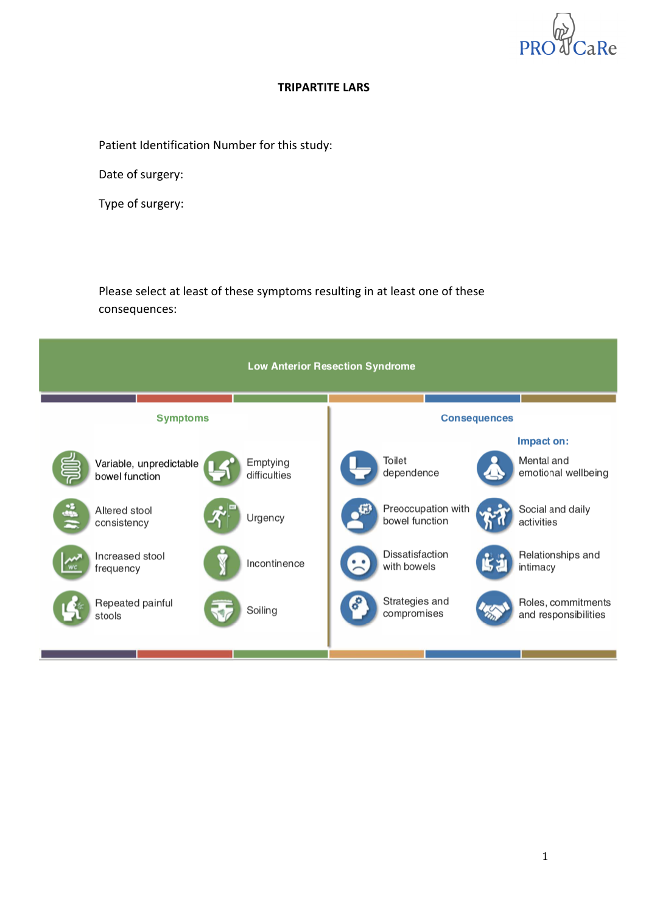

### **TRIPARTITE LARS**

Patient Identification Number for this study:

Date of surgery:

Type of surgery:

Please select at least of these symptoms resulting in at least one of these consequences:

| <b>Low Anterior Resection Syndrome</b> |                                           |  |                          |  |                                      |                     |                                                 |
|----------------------------------------|-------------------------------------------|--|--------------------------|--|--------------------------------------|---------------------|-------------------------------------------------|
|                                        | <b>Symptoms</b>                           |  |                          |  |                                      | <b>Consequences</b> |                                                 |
|                                        | Variable, unpredictable<br>bowel function |  | Emptying<br>difficulties |  | Toilet<br>dependence                 | Д                   | Impact on:<br>Mental and<br>emotional wellbeing |
| 4                                      | Altered stool<br>consistency              |  | Urgency                  |  | Preoccupation with<br>bowel function |                     | Social and daily<br>activities                  |
| <b>WC</b>                              | Increased stool<br>frequency              |  | Incontinence             |  | Dissatisfaction<br>with bowels       | Ľ.                  | Relationships and<br>intimacy                   |
|                                        | Repeated painful<br>stools                |  | Soiling                  |  | Strategies and<br>compromises        |                     | Roles, commitments<br>and responsibilities      |
|                                        |                                           |  |                          |  |                                      |                     |                                                 |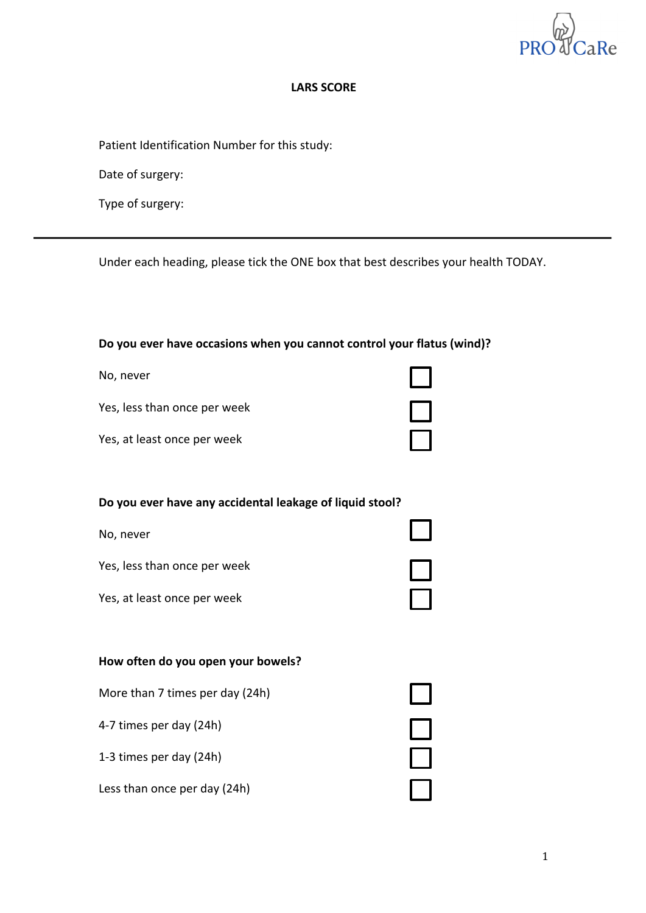

### **LARS SCORE**

Patient Identification Number for this study:

Date of surgery:

Type of surgery:

Under each heading, please tick the ONE box that best describes your health TODAY.

### Do you ever have occasions when you cannot control your flatus (wind)?

| No, never                    |  |
|------------------------------|--|
| Yes, less than once per week |  |
| Yes, at least once per week  |  |

#### Do you ever have any accidental leakage of liquid stool?

No, never

Yes, less than once per week

Yes, at least once per week

#### **How often do you open your bowels?**

More than 7 times per day (24h) 001<br>001 4-7 times per day (24h)

1-3 times per day (24h)

Less than once per day (24h)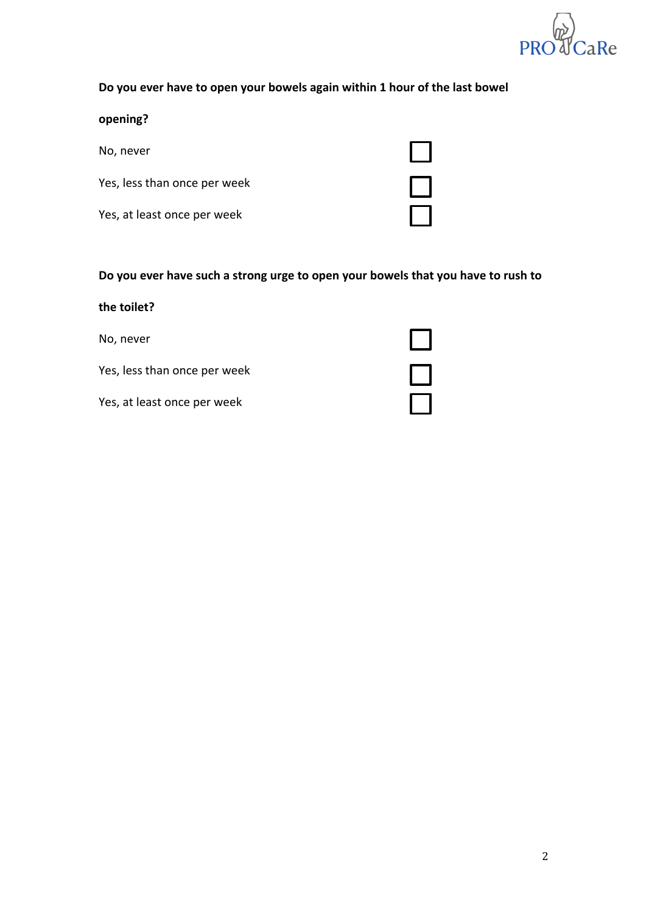

# Do you ever have to open your bowels again within 1 hour of the last bowel

### **opening?**

No, never

Yes, less than once per week

Yes, at least once per week

| I |
|---|
|   |
|   |

 $\Box$ 

### Do you ever have such a strong urge to open your bowels that you have to rush to

| the toilet?                  |  |
|------------------------------|--|
| No, never                    |  |
| Yes, less than once per week |  |
| Yes, at least once per week  |  |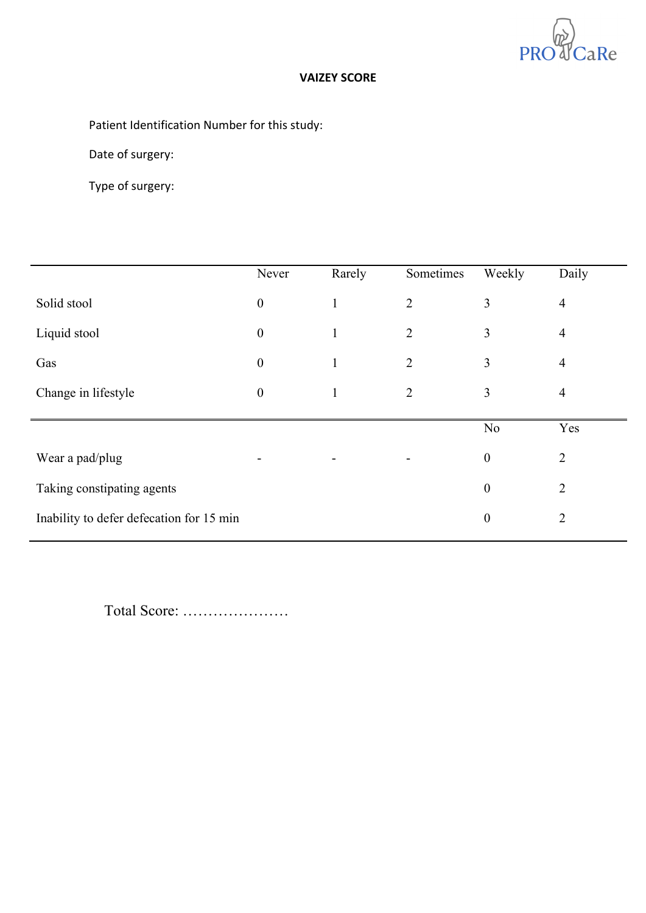

### **VAIZEY SCORE**

# Patient Identification Number for this study:

Date of surgery:

Type of surgery:

|                                          | Never            | Rarely | Sometimes      | Weekly           | Daily          |
|------------------------------------------|------------------|--------|----------------|------------------|----------------|
| Solid stool                              | $\boldsymbol{0}$ |        | $\overline{2}$ | $\overline{3}$   | $\overline{4}$ |
| Liquid stool                             | $\boldsymbol{0}$ |        | $\overline{2}$ | 3                | $\overline{4}$ |
| Gas                                      | $\boldsymbol{0}$ | 1      | $\overline{2}$ | 3                | $\overline{4}$ |
| Change in lifestyle                      | $\boldsymbol{0}$ | 1      | $\overline{2}$ | 3                | $\overline{4}$ |
|                                          |                  |        |                |                  |                |
|                                          |                  |        |                | N <sub>0</sub>   | Yes            |
| Wear a pad/plug                          |                  |        |                | $\boldsymbol{0}$ | $\overline{2}$ |
| Taking constipating agents               |                  |        |                | $\boldsymbol{0}$ | $\overline{2}$ |
| Inability to defer defecation for 15 min |                  |        |                | $\boldsymbol{0}$ | $\overline{2}$ |
|                                          |                  |        |                |                  |                |

Total Score: …………………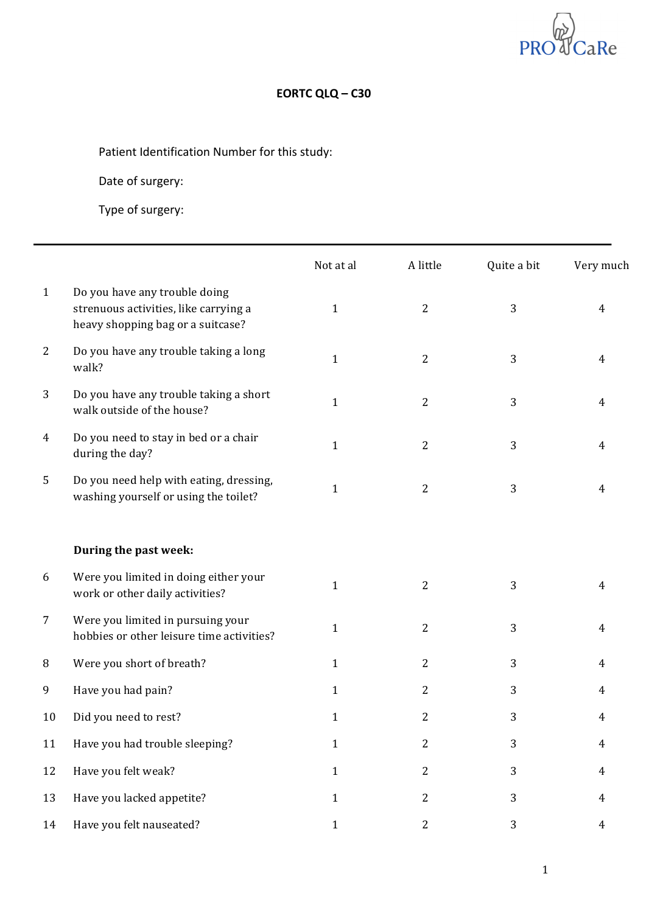

# **EORTC QLQ – C30**

Patient Identification Number for this study:

Date of surgery:

|              |                                                                                                             | Not at al    | A little       | Quite a bit | Very much      |
|--------------|-------------------------------------------------------------------------------------------------------------|--------------|----------------|-------------|----------------|
| $\mathbf{1}$ | Do you have any trouble doing<br>strenuous activities, like carrying a<br>heavy shopping bag or a suitcase? | $\mathbf{1}$ | $\overline{2}$ | 3           | 4              |
| 2            | Do you have any trouble taking a long<br>walk?                                                              | $\mathbf{1}$ | $\overline{2}$ | 3           | 4              |
| 3            | Do you have any trouble taking a short<br>walk outside of the house?                                        | $\mathbf{1}$ | $\overline{2}$ | 3           | 4              |
| 4            | Do you need to stay in bed or a chair<br>during the day?                                                    | $\mathbf{1}$ | $\overline{2}$ | 3           | 4              |
| 5            | Do you need help with eating, dressing,<br>washing yourself or using the toilet?                            | $\mathbf{1}$ | $\overline{2}$ | 3           | 4              |
|              | During the past week:                                                                                       |              |                |             |                |
| 6            | Were you limited in doing either your<br>work or other daily activities?                                    | $\mathbf{1}$ | $\overline{2}$ | 3           | 4              |
| 7            | Were you limited in pursuing your<br>hobbies or other leisure time activities?                              | $\mathbf{1}$ | 2              | 3           | $\overline{4}$ |
| 8            | Were you short of breath?                                                                                   | $\mathbf{1}$ | $\overline{2}$ | 3           | $\overline{4}$ |
| 9            | Have you had pain?                                                                                          | $\mathbf{1}$ | 2              | 3           | 4              |
| 10           | Did you need to rest?                                                                                       | $\mathbf{1}$ | 2              | 3           | 4              |
| 11           | Have you had trouble sleeping?                                                                              | $\mathbf{1}$ | 2              | 3           | $\overline{4}$ |
| 12           | Have you felt weak?                                                                                         | $\mathbf{1}$ | $\overline{2}$ | 3           | $\overline{4}$ |
| 13           | Have you lacked appetite?                                                                                   | $\mathbf{1}$ | $\overline{c}$ | 3           | $\overline{4}$ |
| 14           | Have you felt nauseated?                                                                                    | $1\,$        | $\overline{c}$ | 3           | $\overline{4}$ |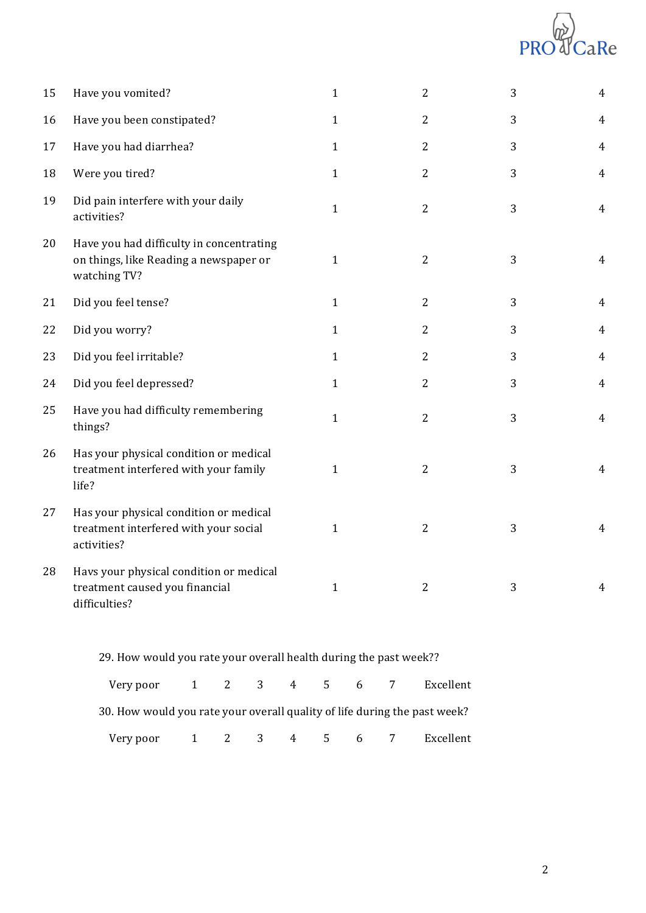# PR CaRe

| 15 | Have you vomited?                                                                                  | $\mathbf{1}$ | $\overline{2}$ | 3 | $\overline{4}$ |
|----|----------------------------------------------------------------------------------------------------|--------------|----------------|---|----------------|
| 16 | Have you been constipated?                                                                         | $\mathbf{1}$ | $\overline{2}$ | 3 | $\overline{4}$ |
| 17 | Have you had diarrhea?                                                                             | $\mathbf{1}$ | $\mathbf{2}$   | 3 | $\overline{4}$ |
| 18 | Were you tired?                                                                                    | $\mathbf{1}$ | $\overline{2}$ | 3 | $\overline{4}$ |
| 19 | Did pain interfere with your daily<br>activities?                                                  | $\mathbf{1}$ | $\overline{2}$ | 3 | $\overline{4}$ |
| 20 | Have you had difficulty in concentrating<br>on things, like Reading a newspaper or<br>watching TV? | $\mathbf{1}$ | $\mathbf{2}$   | 3 | 4              |
| 21 | Did you feel tense?                                                                                | $\mathbf{1}$ | $\overline{2}$ | 3 | 4              |
| 22 | Did you worry?                                                                                     | $\mathbf{1}$ | $\overline{2}$ | 3 | $\overline{4}$ |
| 23 | Did you feel irritable?                                                                            | $\mathbf{1}$ | $\overline{2}$ | 3 | $\overline{4}$ |
| 24 | Did you feel depressed?                                                                            | $\mathbf{1}$ | $\overline{2}$ | 3 | $\overline{4}$ |
| 25 | Have you had difficulty remembering<br>things?                                                     | $\mathbf{1}$ | $\overline{2}$ | 3 | $\overline{4}$ |
| 26 | Has your physical condition or medical<br>treatment interfered with your family<br>life?           | $\mathbf{1}$ | $\overline{2}$ | 3 | $\overline{4}$ |
| 27 | Has your physical condition or medical<br>treatment interfered with your social<br>activities?     | $\mathbf{1}$ | $\overline{2}$ | 3 | $\overline{4}$ |
| 28 | Havs your physical condition or medical<br>treatment caused you financial<br>difficulties?         | $\mathbf{1}$ | $\overline{2}$ | 3 | $\overline{4}$ |
|    |                                                                                                    |              |                |   |                |

29. How would you rate your overall health during the past week?? Very poor 2 3 4 5 6 7 Excellent

30. How would you rate your overall quality of life during the past week?

Very poor 2 3 4 5 6 7 Excellent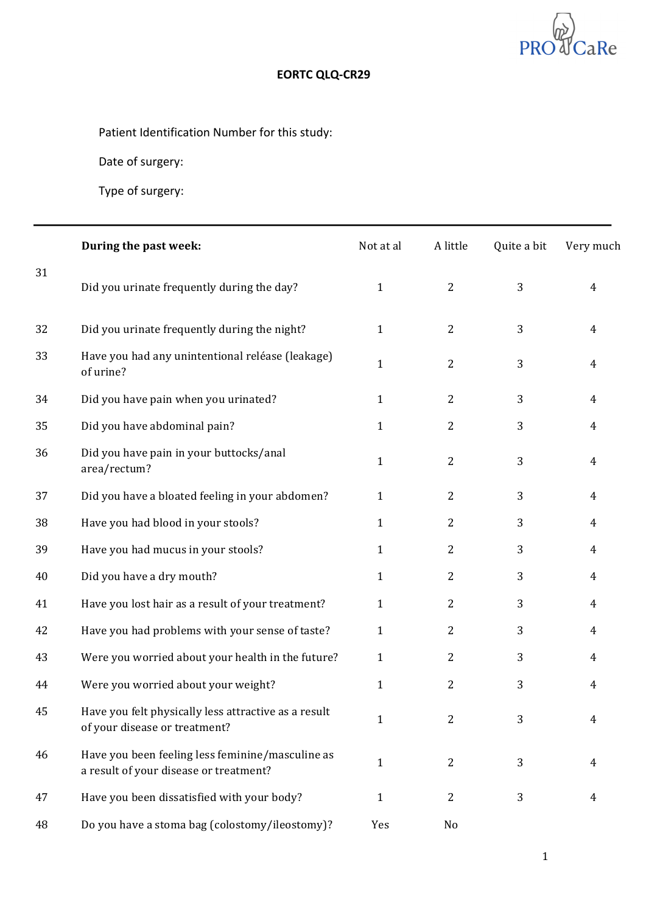

# **EORTC QLQ-CR29**

Patient Identification Number for this study:

Date of surgery:

|    | During the past week:                                                                      | Not at al    | A little       | Quite a bit | Very much      |
|----|--------------------------------------------------------------------------------------------|--------------|----------------|-------------|----------------|
| 31 | Did you urinate frequently during the day?                                                 | $\mathbf{1}$ | $\overline{2}$ | 3           | $\overline{4}$ |
| 32 | Did you urinate frequently during the night?                                               | $\mathbf{1}$ | $\overline{2}$ | 3           | $\overline{4}$ |
| 33 | Have you had any unintentional reléase (leakage)<br>of urine?                              | $\mathbf{1}$ | $\overline{2}$ | 3           | $\overline{4}$ |
| 34 | Did you have pain when you urinated?                                                       | $\mathbf{1}$ | $\overline{2}$ | 3           | $\overline{4}$ |
| 35 | Did you have abdominal pain?                                                               | $\mathbf{1}$ | 2              | 3           | $\overline{4}$ |
| 36 | Did you have pain in your buttocks/anal<br>area/rectum?                                    | $\mathbf{1}$ | 2              | 3           | $\overline{4}$ |
| 37 | Did you have a bloated feeling in your abdomen?                                            | $\mathbf{1}$ | $\overline{2}$ | 3           | $\overline{4}$ |
| 38 | Have you had blood in your stools?                                                         | $\mathbf{1}$ | 2              | 3           | $\overline{4}$ |
| 39 | Have you had mucus in your stools?                                                         | $\mathbf{1}$ | 2              | 3           | $\overline{4}$ |
| 40 | Did you have a dry mouth?                                                                  | $\mathbf{1}$ | $\overline{2}$ | 3           | $\overline{4}$ |
| 41 | Have you lost hair as a result of your treatment?                                          | $\mathbf{1}$ | $\overline{2}$ | 3           | $\overline{4}$ |
| 42 | Have you had problems with your sense of taste?                                            | $\mathbf{1}$ | 2              | 3           | $\overline{4}$ |
| 43 | Were you worried about your health in the future?                                          | $\mathbf{1}$ | $\overline{2}$ | 3           | 4              |
| 44 | Were you worried about your weight?                                                        | $\mathbf{1}$ | 2              | 3           | 4              |
| 45 | Have you felt physically less attractive as a result<br>of your disease or treatment?      | $\mathbf{1}$ | $\overline{2}$ | 3           | 4              |
| 46 | Have you been feeling less feminine/masculine as<br>a result of your disease or treatment? | $\mathbf{1}$ | $\overline{2}$ | 3           | 4              |
| 47 | Have you been dissatisfied with your body?                                                 | $\mathbf{1}$ | $\overline{2}$ | 3           | 4              |
| 48 | Do you have a stoma bag (colostomy/ileostomy)?                                             | Yes          | No             |             |                |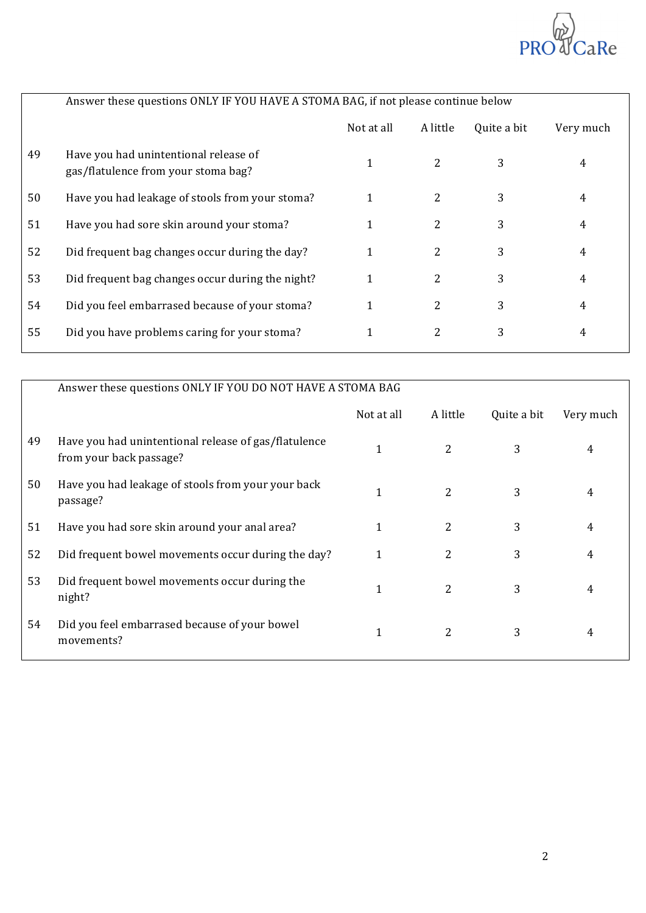

|    | Answer these questions ONLY IF YOU HAVE A STOMA BAG, if not please continue below |            |                |             |           |
|----|-----------------------------------------------------------------------------------|------------|----------------|-------------|-----------|
|    |                                                                                   | Not at all | A little       | Quite a bit | Very much |
| 49 | Have you had unintentional release of<br>gas/flatulence from your stoma bag?      |            | 2              | 3           | 4         |
| 50 | Have you had leakage of stools from your stoma?                                   |            | 2              | 3           | 4         |
| 51 | Have you had sore skin around your stoma?                                         |            | $\overline{2}$ | 3           | 4         |
| 52 | Did frequent bag changes occur during the day?                                    | 1          | 2              | 3           | 4         |
| 53 | Did frequent bag changes occur during the night?                                  | 1          | 2              | 3           | 4         |
| 54 | Did you feel embarrased because of your stoma?                                    | 1          | 2              | 3           | 4         |
| 55 | Did you have problems caring for your stoma?                                      |            | 2              | 3           | 4         |
|    |                                                                                   |            |                |             |           |

|    | Answer these questions ONLY IF YOU DO NOT HAVE A STOMA BAG                      |            |                |             |           |
|----|---------------------------------------------------------------------------------|------------|----------------|-------------|-----------|
|    |                                                                                 | Not at all | A little       | Quite a bit | Very much |
| 49 | Have you had unintentional release of gas/flatulence<br>from your back passage? | 1          | 2              | 3           | 4         |
| 50 | Have you had leakage of stools from your your back<br>passage?                  | 1          | $\overline{2}$ | 3           | 4         |
| 51 | Have you had sore skin around your anal area?                                   | 1          | 2              | 3           | 4         |
| 52 | Did frequent bowel movements occur during the day?                              |            | 2              | 3           | 4         |
| 53 | Did frequent bowel movements occur during the<br>night?                         | 1          | 2              | 3           | 4         |
| 54 | Did you feel embarrased because of your bowel<br>movements?                     | 1          | 2              | 3           | 4         |
|    |                                                                                 |            |                |             |           |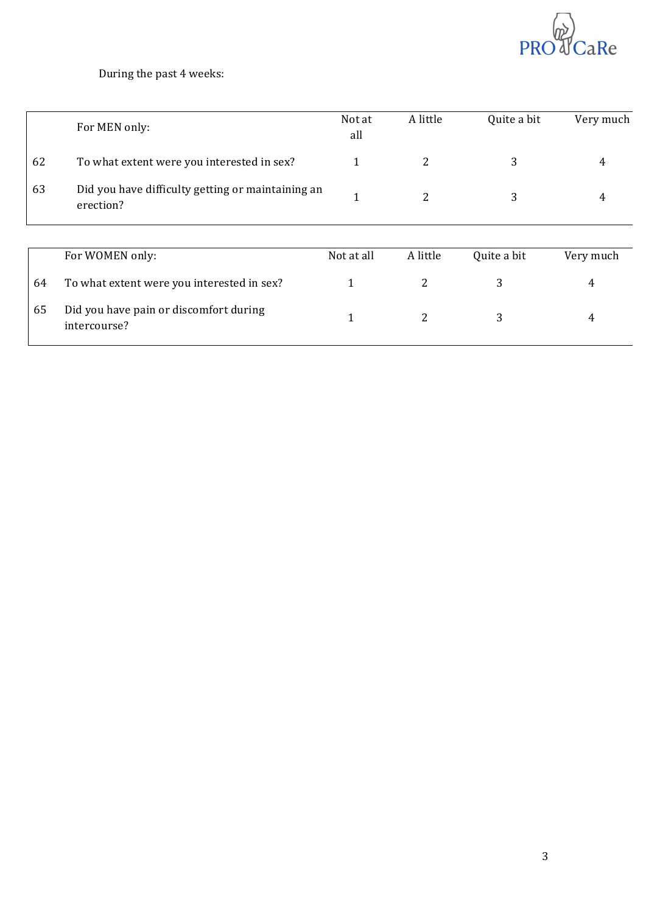

## During the past 4 weeks:

|    | For MEN only:                                                  | Not at<br>all | A little | Quite a bit | Very much |
|----|----------------------------------------------------------------|---------------|----------|-------------|-----------|
| 62 | To what extent were you interested in sex?                     | $\mathbf{1}$  | 2        | 3           | 4         |
| 63 | Did you have difficulty getting or maintaining an<br>erection? | 1             | 2        | 3           | 4         |
|    |                                                                |               |          |             |           |
|    | For WOMEN only:                                                | Not at all    | A little | Quite a bit | Very much |
| 64 | To what extent were you interested in sex?                     | 1             | 2        | 3           | 4         |
| 65 | Did you have pain or discomfort during<br>intercourse?         | 1             | 2        | 3           | 4         |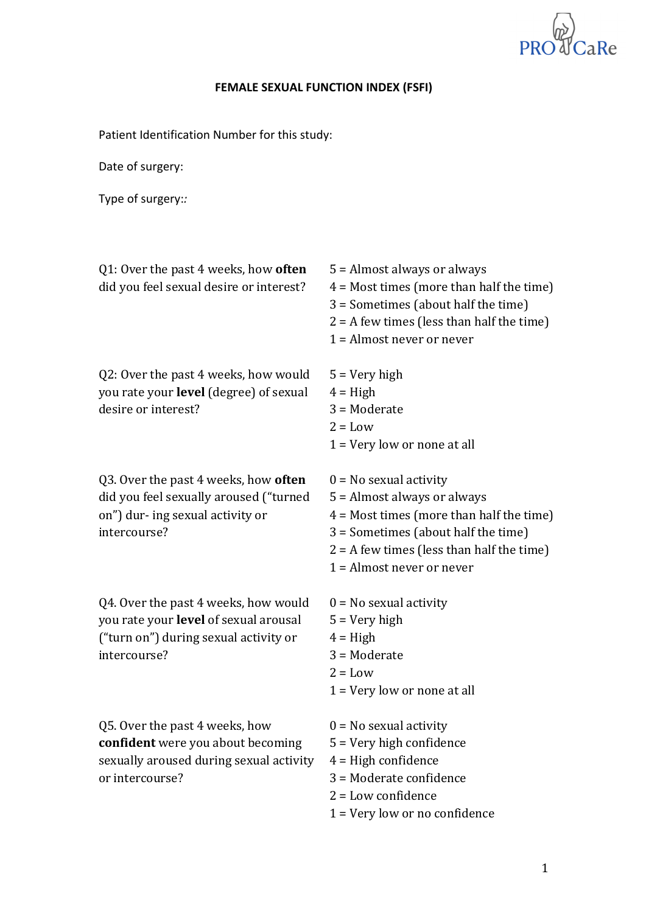

## **FEMALE SEXUAL FUNCTION INDEX (FSFI)**

Patient Identification Number for this study:

Date of surgery:

Type of surgery:*:*

| Q1: Over the past 4 weeks, how often<br>did you feel sexual desire or interest?                                                        | 5 = Almost always or always<br>$4 =$ Most times (more than half the time)<br>3 = Sometimes (about half the time)<br>$2 = A$ few times (less than half the time)<br>$1 =$ Almost never or never                             |
|----------------------------------------------------------------------------------------------------------------------------------------|----------------------------------------------------------------------------------------------------------------------------------------------------------------------------------------------------------------------------|
| Q2: Over the past 4 weeks, how would<br>you rate your level (degree) of sexual<br>desire or interest?                                  | $5 = Very high$<br>$4 = High$<br>$3 = $ Moderate<br>$2 = Low$<br>$1 = Very$ low or none at all                                                                                                                             |
| Q3. Over the past 4 weeks, how often<br>did you feel sexually aroused ("turned<br>on") dur- ing sexual activity or<br>intercourse?     | $0 = No$ sexual activity<br>5 = Almost always or always<br>$4 =$ Most times (more than half the time)<br>3 = Sometimes (about half the time)<br>$2 = A$ few times (less than half the time)<br>$1 =$ Almost never or never |
| Q4. Over the past 4 weeks, how would<br>you rate your level of sexual arousal<br>("turn on") during sexual activity or<br>intercourse? | $0 = No$ sexual activity<br>$5 = \text{Very high}$<br>$4 = High$<br>$3 =$ Moderate<br>$2 = Low$<br>$1 = Very$ low or none at all                                                                                           |
| Q5. Over the past 4 weeks, how<br>confident were you about becoming<br>sexually aroused during sexual activity<br>or intercourse?      | $0 = No$ sexual activity<br>$5 =$ Very high confidence<br>$4 =$ High confidence<br>3 = Moderate confidence<br>$2 =$ Low confidence<br>$1 = Very$ low or no confidence                                                      |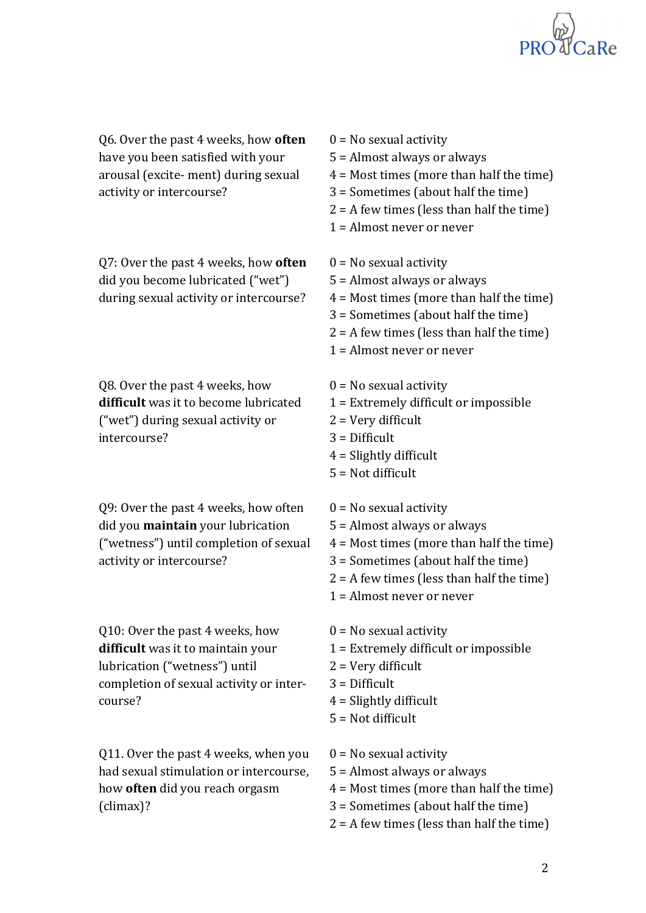

Q6. Over the past 4 weeks, how **often** have you been satisfied with your arousal (excite- ment) during sexual activity or intercourse?

Q7: Over the past 4 weeks, how **often** did you become lubricated ("wet") during sexual activity or intercourse?

Q8. Over the past 4 weeks, how difficult was it to become lubricated ("wet") during sexual activity or intercourse? 

Q9: Over the past 4 weeks, how often did you **maintain** your lubrication ("wetness") until completion of sexual activity or intercourse?

Q10: Over the past 4 weeks, how **difficult** was it to maintain your lubrication ("wetness") until completion of sexual activity or intercourse? 

Q11. Over the past 4 weeks, when you had sexual stimulation or intercourse, how **often** did you reach orgasm (climax)? 

 $0 = No$  sexual activity  $5 =$  Almost always or always  $4 =$  Most times (more than half the time)  $3 =$  Sometimes (about half the time)  $2 = A$  few times (less than half the time)  $1 =$  Almost never or never  $0 = No$  sexual activity  $5 =$  Almost always or always  $4 =$  Most times (more than half the time)  $3 =$  Sometimes (about half the time)  $2 = A$  few times (less than half the time)  $1 =$  Almost never or never  $0 = No$  sexual activity  $1 =$  Extremely difficult or impossible  $2 =$  Very difficult  $3$  = Difficult  $4 =$  Slightly difficult  $5 = Not$  difficult  $0 = No$  sexual activity  $5 =$  Almost always or always  $4 =$  Most times (more than half the time)  $3 =$  Sometimes (about half the time)  $2 = A$  few times (less than half the time)  $1 =$  Almost never or never  $0 = No$  sexual activity  $1 =$  Extremely difficult or impossible  $2 =$  Very difficult  $3$  = Difficult  $4 =$  Slightly difficult  $5 = Not difficult$  $0 = No$  sexual activity  $5 =$  Almost always or always  $4 =$  Most times (more than half the time)  $3 =$  Sometimes (about half the time)

 $2 = A$  few times (less than half the time)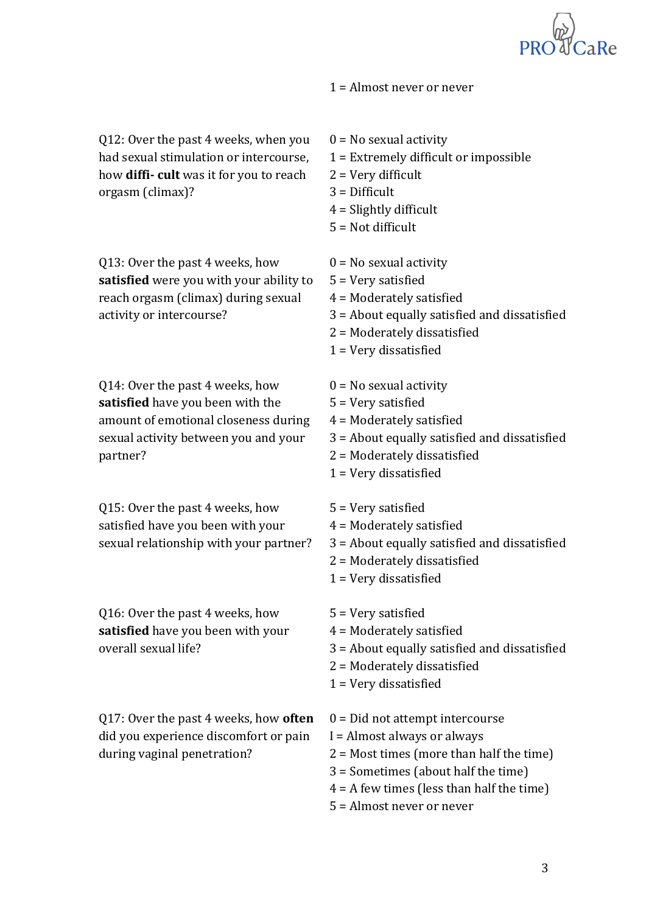

 $1 =$  Almost never or never

Q12: Over the past 4 weeks, when you had sexual stimulation or intercourse, how **diffi-** cult was it for you to reach orgasm (climax)?

Q13: Over the past 4 weeks, how **satisfied** were you with your ability to reach orgasm (climax) during sexual activity or intercourse?

Q14: Over the past 4 weeks, how **satisfied** have you been with the amount of emotional closeness during sexual activity between you and your partner? 

Q15: Over the past 4 weeks, how satisfied have you been with your sexual relationship with your partner?

Q16: Over the past 4 weeks, how satisfied have you been with your overall sexual life?

Q17: Over the past 4 weeks, how **often** did you experience discomfort or pain during vaginal penetration?

 $0 = No$  sexual activity  $1$  = Extremely difficult or impossible  $2 =$  Very difficult  $3$  = Difficult  $4 =$  Slightly difficult  $5 = Not$  difficult  $0 = No$  sexual activity  $5 =$  Very satisfied  $4 =$  Moderately satisfied  $3$  = About equally satisfied and dissatisfied  $2$  = Moderately dissatisfied  $1$  = Very dissatisfied  $0 = No$  sexual activity  $5 =$  Very satisfied  $4$  = Moderately satisfied  $3$  = About equally satisfied and dissatisfied  $2$  = Moderately dissatisfied  $1$  = Very dissatisfied  $5 =$  Very satisfied  $4$  = Moderately satisfied  $3$  = About equally satisfied and dissatisfied  $2$  = Moderately dissatisfied  $1 =$  Very dissatisfied  $5 =$  Very satisfied  $4$  = Moderately satisfied  $3$  = About equally satisfied and dissatisfied  $2$  = Moderately dissatisfied  $1 =$  Very dissatisfied  $0 = Did not attempt$  intercourse  $I =$  Almost always or always  $2 =$  Most times (more than half the time)  $3 =$  Sometimes (about half the time)  $4 = A$  few times (less than half the time)

 $5 =$  Almost never or never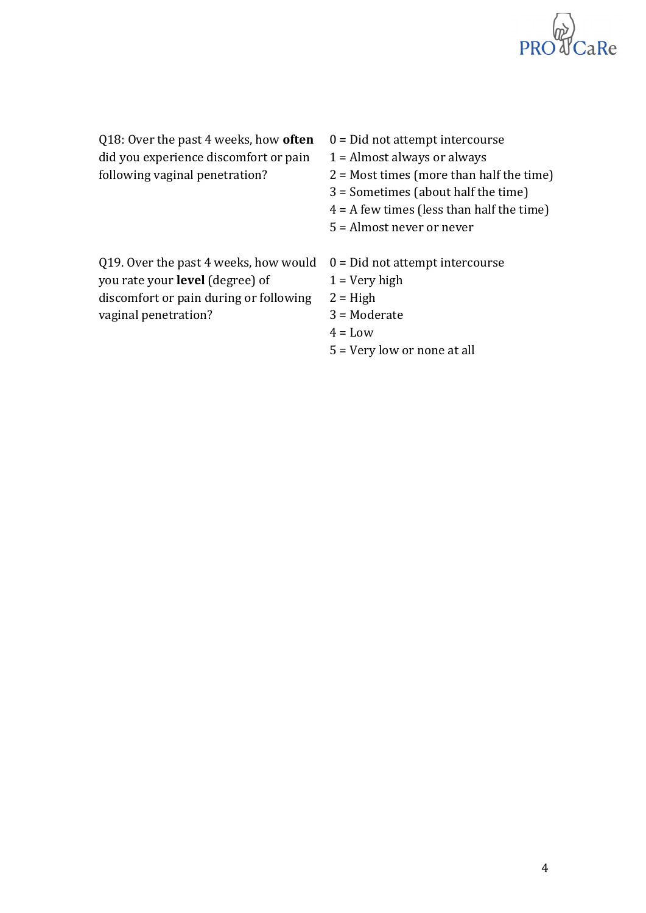

Q18: Over the past 4 weeks, how **often** did you experience discomfort or pain following vaginal penetration?

- $0 = Did not attempt$  intercourse
- $1 =$  Almost always or always
- $2 =$  Most times (more than half the time)
- $3 =$  Sometimes (about half the time)
- $4 = A$  few times (less than half the time)
- $5 =$  Almost never or never

| Q19. Over the past 4 weeks, how would $0 = Did$ not attempt intercourse |                  |
|-------------------------------------------------------------------------|------------------|
| you rate your <b>level</b> (degree) of                                  | $1 = V$ ery high |
| discomfort or pain during or following                                  | $2 = High$       |
| vaginal penetration?                                                    | $3 =$ Moderate   |

- $4 =$ Low
- $5 =$  Very low or none at all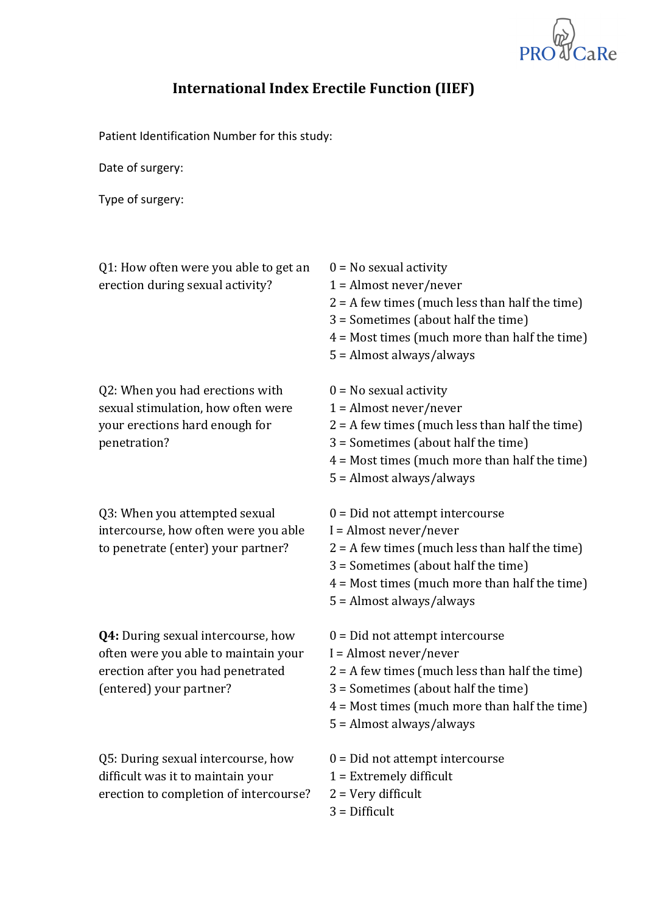

# **International Index Erectile Function (IIEF)**

Patient Identification Number for this study:

Date of surgery:

| Q1: How often were you able to get an<br>erection during sexual activity?                                                                  | $0 = No$ sexual activity<br>$1 =$ Almost never/never<br>$2 = A$ few times (much less than half the time)<br>3 = Sometimes (about half the time)<br>$4 =$ Most times (much more than half the time)<br>5 = Almost always/always            |
|--------------------------------------------------------------------------------------------------------------------------------------------|-------------------------------------------------------------------------------------------------------------------------------------------------------------------------------------------------------------------------------------------|
| Q2: When you had erections with<br>sexual stimulation, how often were<br>your erections hard enough for<br>penetration?                    | $0 = No$ sexual activity<br>$1 =$ Almost never/never<br>$2 = A$ few times (much less than half the time)<br>3 = Sometimes (about half the time)<br>$4 =$ Most times (much more than half the time)<br>$5 =$ Almost always/always          |
| Q3: When you attempted sexual<br>intercourse, how often were you able<br>to penetrate (enter) your partner?                                | $0 = Did$ not attempt intercourse<br>$I =$ Almost never/never<br>$2 = A$ few times (much less than half the time)<br>3 = Sometimes (about half the time)<br>$4 =$ Most times (much more than half the time)<br>$5 =$ Almost always/always |
| Q4: During sexual intercourse, how<br>often were you able to maintain your<br>erection after you had penetrated<br>(entered) your partner? | $0 = Did$ not attempt intercourse<br>$I =$ Almost never/never<br>$2 = A$ few times (much less than half the time)<br>3 = Sometimes (about half the time)<br>$4 =$ Most times (much more than half the time)<br>5 = Almost always/always   |
| Q5: During sexual intercourse, how<br>difficult was it to maintain your<br>erection to completion of intercourse?                          | $0 = Did$ not attempt intercourse<br>$1 =$ Extremely difficult<br>$2 = Very$ difficult<br>$3$ = Difficult                                                                                                                                 |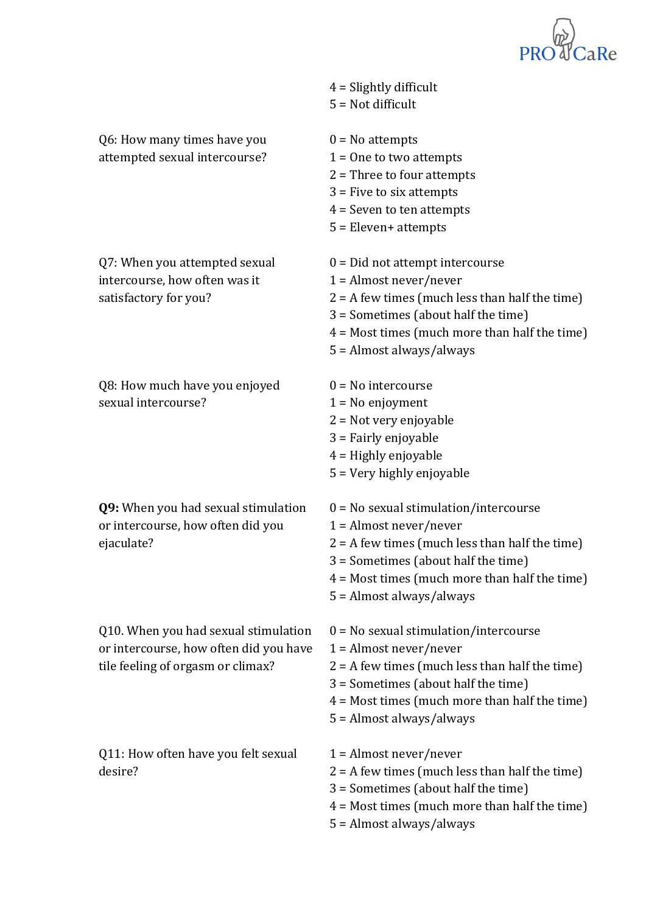

|                                                                                                                     | $4 =$ Slightly difficult<br>$5 = Not difficult$                                                                                                                                                                                               |
|---------------------------------------------------------------------------------------------------------------------|-----------------------------------------------------------------------------------------------------------------------------------------------------------------------------------------------------------------------------------------------|
| Q6: How many times have you<br>attempted sexual intercourse?                                                        | $0 = No$ attempts<br>$1 =$ One to two attempts<br>$2$ = Three to four attempts<br>$3$ = Five to six attempts<br>$4 =$ Seven to ten attempts<br>$5$ = Eleven+ attempts                                                                         |
| Q7: When you attempted sexual<br>intercourse, how often was it<br>satisfactory for you?                             | $0 = Did$ not attempt intercourse<br>$1 =$ Almost never/never<br>$2 = A$ few times (much less than half the time)<br>3 = Sometimes (about half the time)<br>$4 =$ Most times (much more than half the time)<br>5 = Almost always/always       |
| Q8: How much have you enjoyed<br>sexual intercourse?                                                                | $0 = No$ intercourse<br>$1 = No$ enjoyment<br>$2 = Not very enjoyable$<br>3 = Fairly enjoyable<br>$4$ = Highly enjoyable<br>5 = Very highly enjoyable                                                                                         |
| Q9: When you had sexual stimulation<br>or intercourse, how often did you<br>ejaculate?                              | $0 = No$ sexual stimulation/intercourse<br>$1 =$ Almost never/never<br>$2 = A$ few times (much less than half the time)<br>3 = Sometimes (about half the time)<br>$4 =$ Most times (much more than half the time)<br>5 = Almost always/always |
| Q10. When you had sexual stimulation<br>or intercourse, how often did you have<br>tile feeling of orgasm or climax? | $0 = No$ sexual stimulation/intercourse<br>$1 =$ Almost never/never<br>$2 = A$ few times (much less than half the time)<br>3 = Sometimes (about half the time)<br>$4 =$ Most times (much more than half the time)<br>5 = Almost always/always |
| Q11: How often have you felt sexual<br>desire?                                                                      | $1 =$ Almost never/never<br>$2 = A$ few times (much less than half the time)<br>3 = Sometimes (about half the time)<br>$4 =$ Most times (much more than half the time)<br>5 = Almost always/always                                            |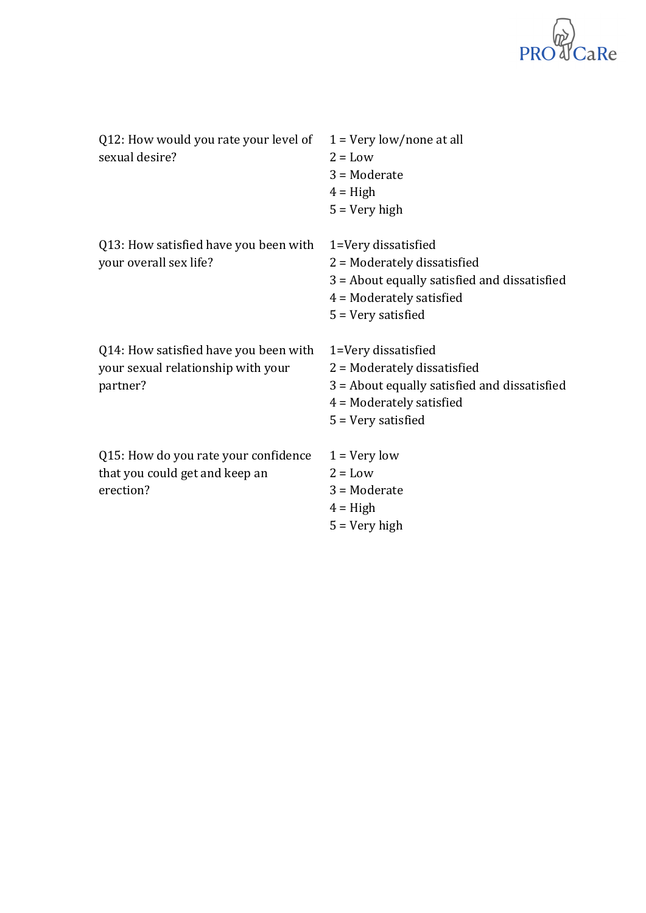

| Q12: How would you rate your level of<br>sexual desire?                                 | $1 = \text{Very low}/\text{none}$ at all<br>$2 = Low$<br>$3 = $ Moderate<br>$4 = High$<br>$5 = \text{Very high}$                                           |
|-----------------------------------------------------------------------------------------|------------------------------------------------------------------------------------------------------------------------------------------------------------|
| Q13: How satisfied have you been with<br>your overall sex life?                         | 1=Very dissatisfied<br>$2$ = Moderately dissatisfied<br>3 = About equally satisfied and dissatisfied<br>$4$ = Moderately satisfied<br>$5 =$ Very satisfied |
| Q14: How satisfied have you been with<br>your sexual relationship with your<br>partner? | 1=Very dissatisfied<br>$2$ = Moderately dissatisfied<br>3 = About equally satisfied and dissatisfied<br>$4$ = Moderately satisfied<br>$5 =$ Very satisfied |
| Q15: How do you rate your confidence<br>that you could get and keep an<br>erection?     | $1 = Very low$<br>$2 = Low$<br>$3 = $ Moderate<br>$4 = High$<br>$5 = V$ ery high                                                                           |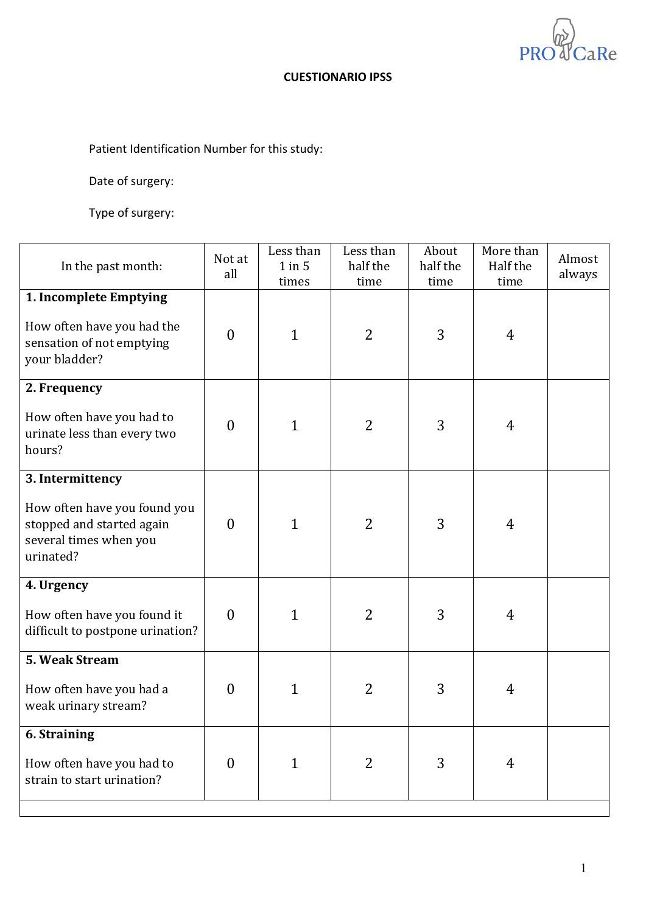**PR** CaRe

### **CUESTIONARIO IPSS**

Patient Identification Number for this study:

Date of surgery:

| In the past month:                                                                               | Not at<br>all    | Less than<br>$1$ in $5$<br>times | Less than<br>half the<br>time | About<br>half the<br>time | More than<br>Half the<br>time | Almost<br>always |
|--------------------------------------------------------------------------------------------------|------------------|----------------------------------|-------------------------------|---------------------------|-------------------------------|------------------|
| 1. Incomplete Emptying                                                                           |                  |                                  |                               |                           |                               |                  |
| How often have you had the<br>sensation of not emptying<br>your bladder?                         | $\boldsymbol{0}$ | $\mathbf{1}$                     | 2                             | 3                         | 4                             |                  |
| 2. Frequency                                                                                     |                  |                                  |                               |                           |                               |                  |
| How often have you had to<br>urinate less than every two<br>hours?                               | $\boldsymbol{0}$ | $\mathbf{1}$                     | 2                             | 3                         | 4                             |                  |
| 3. Intermittency                                                                                 |                  |                                  |                               |                           |                               |                  |
| How often have you found you<br>stopped and started again<br>several times when you<br>urinated? | $\overline{0}$   | $\mathbf{1}$                     | 2                             | 3                         | 4                             |                  |
| 4. Urgency                                                                                       |                  |                                  |                               |                           |                               |                  |
| How often have you found it<br>difficult to postpone urination?                                  | $\overline{0}$   | $\mathbf{1}$                     | 2                             | 3                         | 4                             |                  |
| 5. Weak Stream                                                                                   |                  |                                  |                               |                           |                               |                  |
| How often have you had a<br>weak urinary stream?                                                 | $\theta$         | $\mathbf{1}$                     | 2                             | 3                         | 4                             |                  |
| <b>6. Straining</b>                                                                              |                  |                                  |                               |                           |                               |                  |
| How often have you had to<br>strain to start urination?                                          | $\overline{0}$   | $\mathbf{1}$                     | $\overline{2}$                | 3                         | 4                             |                  |
|                                                                                                  |                  |                                  |                               |                           |                               |                  |